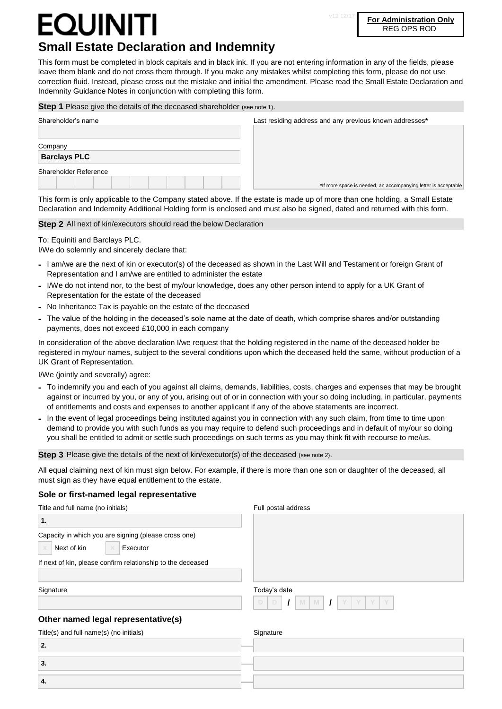## QUINITI **Small Estate Declaration and Indemnity**

v12 12/17 **For Administration Only** REG OPS ROD

This form must be completed in block capitals and in black ink. If you are not entering information in any of the fields, please leave them blank and do not cross them through. If you make any mistakes whilst completing this form, please do not use correction fluid. Instead, please cross out the mistake and initial the amendment. Please read the Small Estate Declaration and Indemnity Guidance Notes in conjunction with completing this form.

#### **Step 1** Please give the details of the deceased shareholder (see note 1).

| Shareholder's name             | Last residing address and any previous known addresses*        |
|--------------------------------|----------------------------------------------------------------|
| Company<br><b>Barclays PLC</b> |                                                                |
| Shareholder Reference          | *If more space is needed, an accompanying letter is acceptable |

This form is only applicable to the Company stated above. If the estate is made up of more than one holding, a Small Estate Declaration and Indemnity Additional Holding form is enclosed and must also be signed, dated and returned with this form.

#### **Step 2** All next of kin/executors should read the below Declaration

To: Equiniti and Barclays PLC.

I/We do solemnly and sincerely declare that:

- **-** I am/we are the next of kin or executor(s) of the deceased as shown in the Last Will and Testament or foreign Grant of Representation and I am/we are entitled to administer the estate
- **-** I/We do not intend nor, to the best of my/our knowledge, does any other person intend to apply for a UK Grant of Representation for the estate of the deceased
- **-** No Inheritance Tax is payable on the estate of the deceased
- **-** The value of the holding in the deceased's sole name at the date of death, which comprise shares and/or outstanding payments, does not exceed £10,000 in each company

In consideration of the above declaration I/we request that the holding registered in the name of the deceased holder be registered in my/our names, subject to the several conditions upon which the deceased held the same, without production of a UK Grant of Representation.

I/We (jointly and severally) agree:

- **-** To indemnify you and each of you against all claims, demands, liabilities, costs, charges and expenses that may be brought against or incurred by you, or any of you, arising out of or in connection with your so doing including, in particular, payments of entitlements and costs and expenses to another applicant if any of the above statements are incorrect.
- **-** In the event of legal proceedings being instituted against you in connection with any such claim, from time to time upon demand to provide you with such funds as you may require to defend such proceedings and in default of my/our so doing you shall be entitled to admit or settle such proceedings on such terms as you may think fit with recourse to me/us.

**Step 3** Please give the details of the next of kin/executor(s) of the deceased (see note 2).

All equal claiming next of kin must sign below. For example, if there is more than one son or daughter of the deceased, all must sign as they have equal entitlement to the estate.

#### **Sole or first-named legal representative**

| Title and full name (no initials)                                                                | Full postal address    |  |
|--------------------------------------------------------------------------------------------------|------------------------|--|
| 1.                                                                                               |                        |  |
| Capacity in which you are signing (please cross one)<br>Next of kin<br>Executor<br>$\times$<br>X |                        |  |
| If next of kin, please confirm relationship to the deceased                                      |                        |  |
| Signature                                                                                        | Today's date           |  |
|                                                                                                  | D<br>D<br>Y<br>M<br>M. |  |
| Other named legal representative(s)                                                              |                        |  |
| Title(s) and full name(s) (no initials)                                                          | Signature              |  |
| 2.                                                                                               |                        |  |
| 3.                                                                                               |                        |  |
| 4.                                                                                               |                        |  |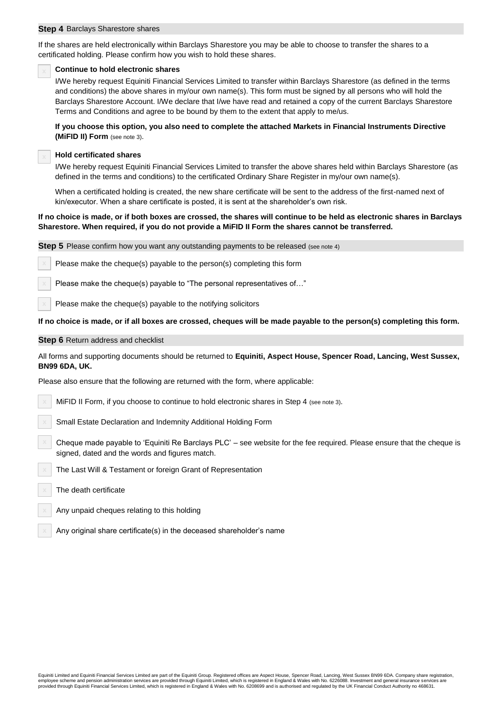#### **Step 4** Barclays Sharestore shares

If the shares are held electronically within Barclays Sharestore you may be able to choose to transfer the shares to a certificated holding. Please confirm how you wish to hold these shares.

#### **x Continue to hold electronic shares**

I/We hereby request Equiniti Financial Services Limited to transfer within Barclays Sharestore (as defined in the terms and conditions) the above shares in my/our own name(s). This form must be signed by all persons who will hold the Barclays Sharestore Account. I/We declare that I/we have read and retained a copy of the current Barclays Sharestore Terms and Conditions and agree to be bound by them to the extent that apply to me/us.

**If you choose this option, you also need to complete the attached Markets in Financial Instruments Directive (MiFID II) Form** (see note 3).

#### **x Hold certificated shares**

I/We hereby request Equiniti Financial Services Limited to transfer the above shares held within Barclays Sharestore (as defined in the terms and conditions) to the certificated Ordinary Share Register in my/our own name(s).

When a certificated holding is created, the new share certificate will be sent to the address of the first-named next of kin/executor. When a share certificate is posted, it is sent at the shareholder's own risk.

#### **If no choice is made, or if both boxes are crossed, the shares will continue to be held as electronic shares in Barclays Sharestore. When required, if you do not provide a MiFID II Form the shares cannot be transferred.**

**Step 5** Please confirm how you want any outstanding payments to be released (see note 4)

Please make the cheque(s) payable to the person(s) completing this form

**x** Please make the cheque(s) payable to "The personal representatives of…"

**x** Please make the cheque(s) payable to the notifying solicitors

**If no choice is made, or if all boxes are crossed, cheques will be made payable to the person(s) completing this form.**

#### **Step 6** Return address and checklist

All forms and supporting documents should be returned to **Equiniti, Aspect House, Spencer Road, Lancing, West Sussex, BN99 6DA, UK.**

Please also ensure that the following are returned with the form, where applicable:

**x** MiFID II Form, if you choose to continue to hold electronic shares in Step 4 (see note 3).

**x** Small Estate Declaration and Indemnity Additional Holding Form

**x** Cheque made payable to 'Equiniti Re Barclays PLC' – see website for the fee required. Please ensure that the cheque is signed, dated and the words and figures match.

**x** The Last Will & Testament or foreign Grant of Representation

**x** The death certificate

**x** Any unpaid cheques relating to this holding

**x** Any original share certificate(s) in the deceased shareholder's name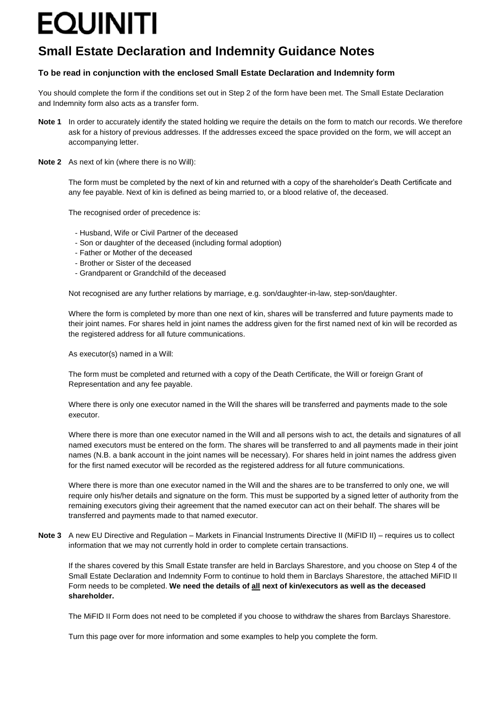# **EQUINITI**

### **Small Estate Declaration and Indemnity Guidance Notes**

### **To be read in conjunction with the enclosed Small Estate Declaration and Indemnity form**

You should complete the form if the conditions set out in Step 2 of the form have been met. The Small Estate Declaration and Indemnity form also acts as a transfer form.

- **Note 1** In order to accurately identify the stated holding we require the details on the form to match our records. We therefore ask for a history of previous addresses. If the addresses exceed the space provided on the form, we will accept an accompanying letter.
- **Note 2** As next of kin (where there is no Will):

The form must be completed by the next of kin and returned with a copy of the shareholder's Death Certificate and any fee payable. Next of kin is defined as being married to, or a blood relative of, the deceased.

The recognised order of precedence is:

- Husband, Wife or Civil Partner of the deceased
- Son or daughter of the deceased (including formal adoption)
- Father or Mother of the deceased
- Brother or Sister of the deceased
- Grandparent or Grandchild of the deceased

Not recognised are any further relations by marriage, e.g. son/daughter-in-law, step-son/daughter.

Where the form is completed by more than one next of kin, shares will be transferred and future payments made to their joint names. For shares held in joint names the address given for the first named next of kin will be recorded as the registered address for all future communications.

As executor(s) named in a Will:

The form must be completed and returned with a copy of the Death Certificate, the Will or foreign Grant of Representation and any fee payable.

Where there is only one executor named in the Will the shares will be transferred and payments made to the sole executor.

Where there is more than one executor named in the Will and all persons wish to act, the details and signatures of all named executors must be entered on the form. The shares will be transferred to and all payments made in their joint names (N.B. a bank account in the joint names will be necessary). For shares held in joint names the address given for the first named executor will be recorded as the registered address for all future communications.

Where there is more than one executor named in the Will and the shares are to be transferred to only one, we will require only his/her details and signature on the form. This must be supported by a signed letter of authority from the remaining executors giving their agreement that the named executor can act on their behalf. The shares will be transferred and payments made to that named executor.

**Note 3** A new EU Directive and Regulation – Markets in Financial Instruments Directive II (MiFID II) – requires us to collect information that we may not currently hold in order to complete certain transactions.

If the shares covered by this Small Estate transfer are held in Barclays Sharestore, and you choose on Step 4 of the Small Estate Declaration and Indemnity Form to continue to hold them in Barclays Sharestore, the attached MiFID II Form needs to be completed. **We need the details of all next of kin/executors as well as the deceased shareholder.**

The MiFID II Form does not need to be completed if you choose to withdraw the shares from Barclays Sharestore.

Turn this page over for more information and some examples to help you complete the form.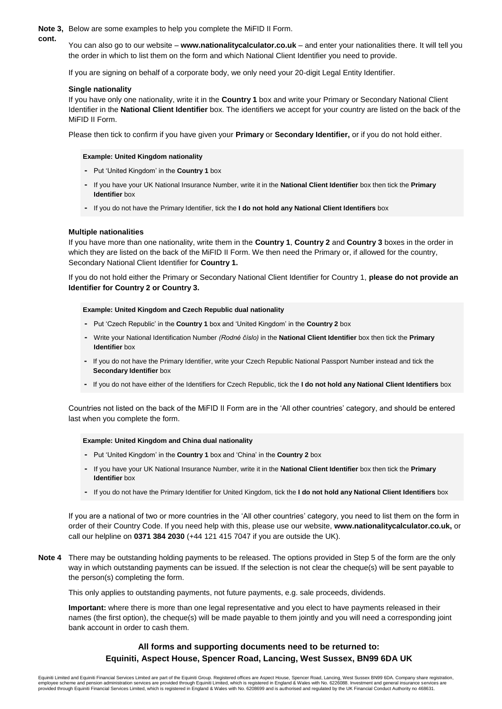#### **Note 3,** Below are some examples to help you complete the MiFID II Form.

You can also go to our website – **www.nationalitycalculator.co.uk** – and enter your nationalities there. It will tell you the order in which to list them on the form and which National Client Identifier you need to provide.

If you are signing on behalf of a corporate body, we only need your 20-digit Legal Entity Identifier.

#### **Single nationality**

**cont.**

If you have only one nationality, write it in the **Country 1** box and write your Primary or Secondary National Client Identifier in the **National Client Identifier** box. The identifiers we accept for your country are listed on the back of the MiFID II Form.

Please then tick to confirm if you have given your **Primary** or **Secondary Identifier,** or if you do not hold either.

#### **Example: United Kingdom nationality**

- **-** Put 'United Kingdom' in the **Country 1** box
- **-** If you have your UK National Insurance Number, write it in the **National Client Identifier** box then tick the **Primary Identifier** box
- **-** If you do not have the Primary Identifier, tick the **I do not hold any National Client Identifiers** box

#### **Multiple nationalities**

If you have more than one nationality, write them in the **Country 1**, **Country 2** and **Country 3** boxes in the order in which they are listed on the back of the MiFID II Form. We then need the Primary or, if allowed for the country, Secondary National Client Identifier for **Country 1.**

If you do not hold either the Primary or Secondary National Client Identifier for Country 1, **please do not provide an Identifier for Country 2 or Country 3.**

#### **Example: United Kingdom and Czech Republic dual nationality**

- **-** Put 'Czech Republic' in the **Country 1** box and 'United Kingdom' in the **Country 2** box
- **-** Write your National Identification Number *(Rodné číslo)* in the **National Client Identifier** box then tick the **Primary Identifier** box
- **-** If you do not have the Primary Identifier, write your Czech Republic National Passport Number instead and tick the **Secondary Identifier** box
- **-** If you do not have either of the Identifiers for Czech Republic, tick the **I do not hold any National Client Identifiers** box

Countries not listed on the back of the MiFID II Form are in the 'All other countries' category, and should be entered last when you complete the form.

#### **Example: United Kingdom and China dual nationality**

- **-** Put 'United Kingdom' in the **Country 1** box and 'China' in the **Country 2** box
- **-** If you have your UK National Insurance Number, write it in the **National Client Identifier** box then tick the **Primary Identifier** box
- **-** If you do not have the Primary Identifier for United Kingdom, tick the **I do not hold any National Client Identifiers** box

If you are a national of two or more countries in the 'All other countries' category, you need to list them on the form in order of their Country Code. If you need help with this, please use our website, **www.nationalitycalculator.co.uk,** or call our helpline on **0371 384 2030** (+44 121 415 7047 if you are outside the UK).

**Note 4** There may be outstanding holding payments to be released. The options provided in Step 5 of the form are the only way in which outstanding payments can be issued. If the selection is not clear the cheque(s) will be sent payable to the person(s) completing the form.

This only applies to outstanding payments, not future payments, e.g. sale proceeds, dividends.

**Important:** where there is more than one legal representative and you elect to have payments released in their names (the first option), the cheque(s) will be made payable to them jointly and you will need a corresponding joint bank account in order to cash them.

### **All forms and supporting documents need to be returned to: Equiniti, Aspect House, Spencer Road, Lancing, West Sussex, BN99 6DA UK**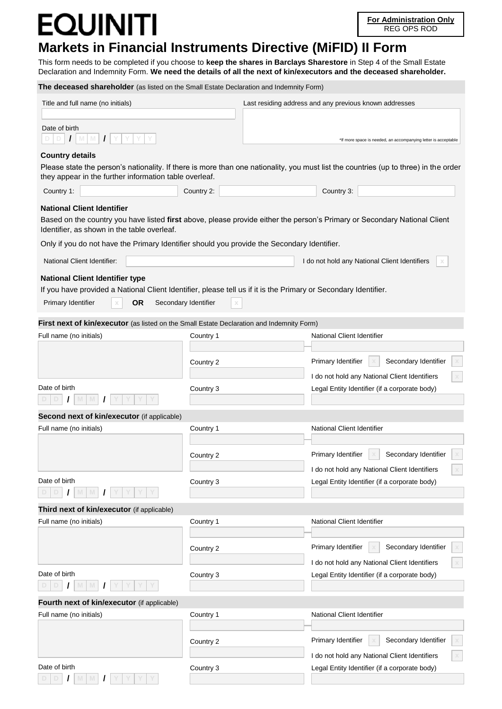## OUINITI

**D D / M M / Y Y Y Y**

## **Markets in Financial Instruments Directive (MiFID) II Form**

This form needs to be completed if you choose to **keep the shares in Barclays Sharestore** in Step 4 of the Small Estate Declaration and Indemnity Form. **We need the details of all the next of kin/executors and the deceased shareholder.**

**The deceased shareholder** (as listed on the Small Estate Declaration and Indemnity Form) Title and full name (no initials) Last residing address and any previous known addresses \*If more space is needed, an accompanying letter is acceptable Date of birth  $D$   $D$   $I$ **Country details** Please state the person's nationality. If there is more than one nationality, you must list the countries (up to three) in the order they appear in the further information table overleaf. Country 1: Country 2: Country 2: Country 2: Country 3: **National Client Identifier** Based on the country you have listed **first** above, please provide either the person's Primary or Secondary National Client Identifier, as shown in the table overleaf. Only if you do not have the Primary Identifier should you provide the Secondary Identifier. National Client Identifier: I do not hold any National Client Identifiers **x National Client Identifier type** If you have provided a National Client Identifier, please tell us if it is the Primary or Secondary Identifier. Primary Identifier **x OR** Secondary Identifier **x First next of kin/executor** (as listed on the Small Estate Declaration and Indemnity Form) Full name (no initials) and the Country 1 Country 1 National Client Identifier **Country 2 Primary Identifier**  $x \mid x$  **Secondary Identifier** I do not hold any National Client Identifiers **x** Date of birth **Country 3** Country 3 Country 3 Legal Entity Identifier (if a corporate body) **D D / M M / Y Y Y Y Second next of kin/executor** (if applicable) Full name (no initials) and the Country 1 Country 1 National Client Identifier **Country 2 Primary Identifier <b>X** Secondary Identifier I do not hold any National Client Identifiers **x** Date of birth **Country 3** Country 3 Legal Entity Identifier (if a corporate body) **D D / M M / Y Y Y Y Third next of kin/executor** (if applicable) Full name (no initials) The Country 1 Country 1 National Client Identifier in the Second League of the Country 1 **Country 2 Primary Identifier <b>X** Secondary Identifier I do not hold any National Client Identifiers **x** Date of birth **Country 3** Country 3 Country 3 Country 2 Country 2 Country 2 Country 2 Country 2 Country 2 Country 2 Country 2 Country 2 Country 2 Country 2 Country 2 Country 2 Country 2 Country 2 Country 2 Country 2 Countr **D D / M M / Y Y Y Y Fourth next of kin/executor** (if applicable) Full name (no initials) and the country 1 Country 1 Country 1 National Client Identifier **Country 2 Primary Identifier**  $x \times y$  **Secondary Identifier** I do not hold any National Client Identifiers **x** Date of birth **Example 20** Country 3 Country 3 Country 3 Legal Entity Identifier (if a corporate body)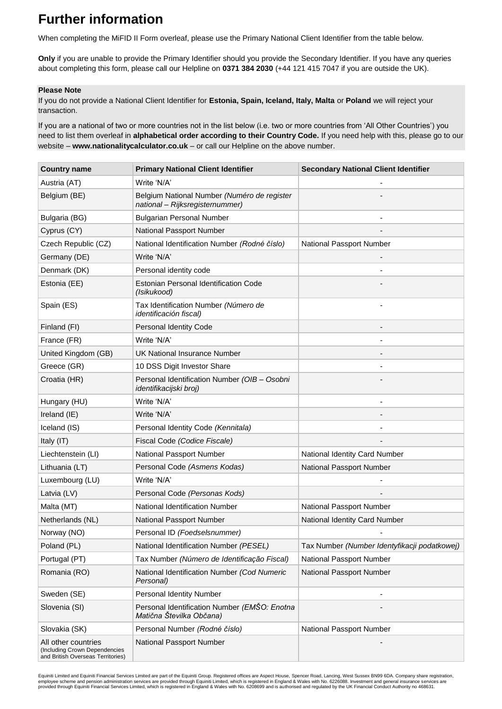## **Further information**

When completing the MiFID II Form overleaf, please use the Primary National Client Identifier from the table below.

**Only** if you are unable to provide the Primary Identifier should you provide the Secondary Identifier. If you have any queries about completing this form, please call our Helpline on **0371 384 2030** (+44 121 415 7047 if you are outside the UK).

#### **Please Note**

If you do not provide a National Client Identifier for **Estonia, Spain, Iceland, Italy, Malta** or **Poland** we will reject your transaction.

If you are a national of two or more countries not in the list below (i.e. two or more countries from 'All Other Countries') you need to list them overleaf in **alphabetical order according to their Country Code.** If you need help with this, please go to our website – **www.nationalitycalculator.co.uk** – or call our Helpline on the above number.

| <b>Country name</b>                                                                       | <b>Primary National Client Identifier</b>                                      | <b>Secondary National Client Identifier</b>  |
|-------------------------------------------------------------------------------------------|--------------------------------------------------------------------------------|----------------------------------------------|
| Austria (AT)                                                                              | Write 'N/A'                                                                    |                                              |
| Belgium (BE)                                                                              | Belgium National Number (Numéro de register<br>national - Rijksregisternummer) |                                              |
| Bulgaria (BG)                                                                             | <b>Bulgarian Personal Number</b>                                               |                                              |
| Cyprus (CY)                                                                               | National Passport Number                                                       |                                              |
| Czech Republic (CZ)                                                                       | National Identification Number (Rodné číslo)                                   | National Passport Number                     |
| Germany (DE)                                                                              | Write 'N/A'                                                                    |                                              |
| Denmark (DK)                                                                              | Personal identity code                                                         |                                              |
| Estonia (EE)                                                                              | <b>Estonian Personal Identification Code</b><br>(Isikukood)                    |                                              |
| Spain (ES)                                                                                | Tax Identification Number (Número de<br><i>identificación fiscal)</i>          |                                              |
| Finland (FI)                                                                              | Personal Identity Code                                                         |                                              |
| France (FR)                                                                               | Write 'N/A'                                                                    |                                              |
| United Kingdom (GB)                                                                       | UK National Insurance Number                                                   |                                              |
| Greece (GR)                                                                               | 10 DSS Digit Investor Share                                                    |                                              |
| Croatia (HR)                                                                              | Personal Identification Number (OIB - Osobni<br>identifikacijski broj)         |                                              |
| Hungary (HU)                                                                              | Write 'N/A'                                                                    |                                              |
| Ireland (IE)                                                                              | Write 'N/A'                                                                    |                                              |
| Iceland (IS)                                                                              | Personal Identity Code (Kennitala)                                             |                                              |
| Italy (IT)                                                                                | Fiscal Code (Codice Fiscale)                                                   |                                              |
| Liechtenstein (LI)                                                                        | National Passport Number                                                       | National Identity Card Number                |
| Lithuania (LT)                                                                            | Personal Code (Asmens Kodas)                                                   | National Passport Number                     |
| Luxembourg (LU)                                                                           | Write 'N/A'                                                                    |                                              |
| Latvia (LV)                                                                               | Personal Code (Personas Kods)                                                  |                                              |
| Malta (MT)                                                                                | National Identification Number                                                 | National Passport Number                     |
| Netherlands (NL)                                                                          | National Passport Number                                                       | National Identity Card Number                |
| Norway (NO)                                                                               | Personal ID (Foedselsnummer)                                                   |                                              |
| Poland (PL)                                                                               | National Identification Number (PESEL)                                         | Tax Number (Number Identyfikacji podatkowej) |
| Portugal (PT)                                                                             | Tax Number (Número de Identificação Fiscal)                                    | National Passport Number                     |
| Romania (RO)                                                                              | National Identification Number (Cod Numeric<br>Personal)                       | National Passport Number                     |
| Sweden (SE)                                                                               | <b>Personal Identity Number</b>                                                |                                              |
| Slovenia (SI)                                                                             | Personal Identification Number (EMŠO: Enotna<br>Matična Številka Občana)       |                                              |
| Slovakia (SK)                                                                             | Personal Number (Rodné číslo)                                                  | National Passport Number                     |
| All other countries<br>(Including Crown Dependencies<br>and British Overseas Territories) | National Passport Number                                                       |                                              |

Equiniti Limited and Equiniti Financial Services Limited are part of the Equiniti Group. Registered offices are Aspect House, Spencer Road, Lancing, West Sussex BN99 6DA. Company share registration,<br>employee scheme and pen